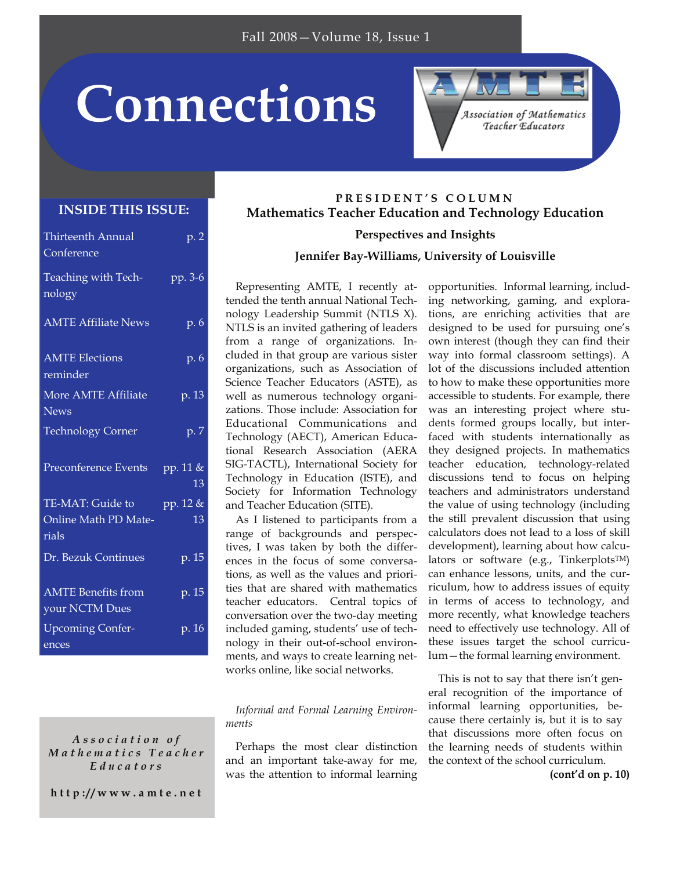# **Connections**

#### **INSIDE THIS ISSUE:**

| Thirteenth Annual<br>Conference             | $\overline{p}$ . 2          |
|---------------------------------------------|-----------------------------|
| Teaching with Tech-<br>nology               | pp. 3-6                     |
| <b>AMTE Affiliate News</b>                  | p. 6                        |
| <b>AMTE</b> Elections<br>reminder           | p. 6                        |
| More AMTE Affiliate<br><b>News</b>          | p. 13                       |
| <b>Technology Corner</b>                    | p. 7                        |
| Preconference Events                        | pp. 11 &<br>$\overline{13}$ |
| TE-MAT: Guide to                            | pp. 12 &                    |
| Online Math PD Mate-<br>rials               | 13                          |
| Dr. Bezuk Continues                         | p. 15                       |
| <b>AMTE Benefits from</b><br>your NCTM Dues | p. 15                       |
| <b>Upcoming Confer-</b><br>ences            | p. 16                       |

*Association of Mathematic s Teacher Educators* 

**http://www.amte.net** 

### **PRESIDENT'S COLUMN Mathematics Teacher Education and Technology Education**

**Perspectives and Insights Jennifer Bay-Williams, University of Louisville** 

Representing AMTE, I recently attended the tenth annual National Technology Leadership Summit (NTLS X). NTLS is an invited gathering of leaders from a range of organizations. Included in that group are various sister organizations, such as Association of Science Teacher Educators (ASTE), as well as numerous technology organizations. Those include: Association for Educational Communications and Technology (AECT), American Educational Research Association (AERA SIG-TACTL), International Society for Technology in Education (ISTE), and Society for Information Technology and Teacher Education (SITE).

As I listened to participants from a range of backgrounds and perspectives, I was taken by both the differences in the focus of some conversations, as well as the values and priorities that are shared with mathematics teacher educators. Central topics of conversation over the two-day meeting included gaming, students' use of technology in their out-of-school environments, and ways to create learning networks online, like social networks.

*Informal and Formal Learning Environments* 

Perhaps the most clear distinction and an important take-away for me, was the attention to informal learning

opportunities. Informal learning, including networking, gaming, and explorations, are enriching activities that are designed to be used for pursuing one's own interest (though they can find their way into formal classroom settings). A lot of the discussions included attention to how to make these opportunities more accessible to students. For example, there was an interesting project where students formed groups locally, but interfaced with students internationally as they designed projects. In mathematics teacher education, technology-related discussions tend to focus on helping teachers and administrators understand the value of using technology (including the still prevalent discussion that using calculators does not lead to a loss of skill development), learning about how calculators or software (e.g., TinkerplotsTM) can enhance lessons, units, and the curriculum, how to address issues of equity in terms of access to technology, and more recently, what knowledge teachers need to effectively use technology. All of these issues target the school curriculum—the formal learning environment.

Association of Mathematics Teacher Educators

This is not to say that there isn't general recognition of the importance of informal learning opportunities, because there certainly is, but it is to say that discussions more often focus on the learning needs of students within the context of the school curriculum.

**(cont'd on p. 10)**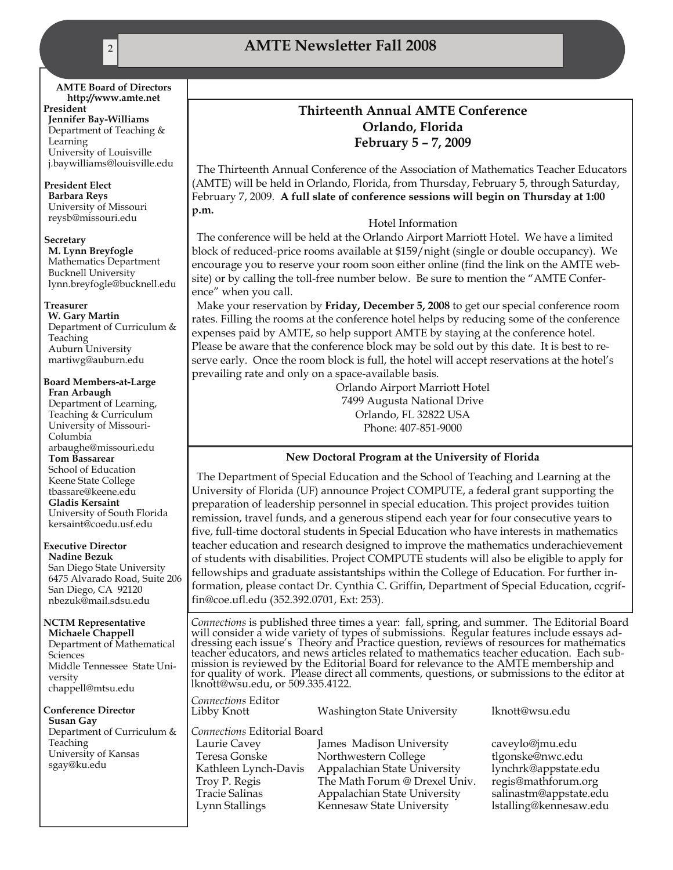#### **AMTE Board of Directors http://www.amte.net**

**President Jennifer Bay-Williams**  Department of Teaching & Learning University of Louisville j.baywilliams@louisville.edu

#### **President Elect**

**Barbara Reys**  University of Missouri reysb@missouri.edu

#### **Secretary**

**M. Lynn Breyfogle**  Mathematics Department Bucknell University lynn.breyfogle@bucknell.edu

#### **Treasurer**

**W. Gary Martin**  Department of Curriculum & Teaching Auburn University martiwg@auburn.edu

#### **Board Members-at-Large Fran Arbaugh**

Department of Learning, Teaching & Curriculum University of Missouri-Columbia arbaughe@missouri.edu **Tom Bassarear**  School of Education Keene State College tbassare@keene.edu **Gladis Kersaint**  University of South Florida kersaint@coedu.usf.edu

#### **Executive Director**

**Nadine Bezuk**  San Diego State University 6475 Alvarado Road, Suite 206 San Diego, CA 92120 nbezuk@mail.sdsu.edu

#### **NCTM Representative**

**Michaele Chappell**  Department of Mathematical **Sciences** Middle Tennessee State University chappell@mtsu.edu

**Conference Director Susan Gay**  Department of Curriculum & Teaching University of Kansas sgay@ku.edu

#### **Thirteenth Annual AMTE Conference Orlando, Florida February 5 – 7, 2009**

The Thirteenth Annual Conference of the Association of Mathematics Teacher Educators (AMTE) will be held in Orlando, Florida, from Thursday, February 5, through Saturday, February 7, 2009. **A full slate of conference sessions will begin on Thursday at 1:00 p.m.** 

#### Hotel Information

The conference will be held at the Orlando Airport Marriott Hotel. We have a limited block of reduced-price rooms available at \$159/night (single or double occupancy). We encourage you to reserve your room soon either online (find the link on the AMTE website) or by calling the toll-free number below. Be sure to mention the "AMTE Conference" when you call.

Make your reservation by **Friday, December 5, 2008** to get our special conference room rates. Filling the rooms at the conference hotel helps by reducing some of the conference expenses paid by AMTE, so help support AMTE by staying at the conference hotel. Please be aware that the conference block may be sold out by this date. It is best to reserve early. Once the room block is full, the hotel will accept reservations at the hotel's prevailing rate and only on a space-available basis.

> Orlando Airport Marriott Hotel 7499 Augusta National Drive Orlando, FL 32822 USA Phone: 407-851-9000

#### **New Doctoral Program at the University of Florida**

The Department of Special Education and the School of Teaching and Learning at the University of Florida (UF) announce Project COMPUTE, a federal grant supporting the preparation of leadership personnel in special education. This project provides tuition remission, travel funds, and a generous stipend each year for four consecutive years to five, full-time doctoral students in Special Education who have interests in mathematics teacher education and research designed to improve the mathematics underachievement of students with disabilities. Project COMPUTE students will also be eligible to apply for fellowships and graduate assistantships within the College of Education. For further information, please contact Dr. Cynthia C. Griffin, Department of Special Education, ccgriffin@coe.ufl.edu (352.392.0701, Ext: 253).

Connections is published three times a year: fall, spring, and summer. The Editorial Board will consider a wide variety of types of submissions. Regular features include essays addressing each issue's Theory and Practice q for quality of work. Please direct all comments, questions, or submissions to the editor at lknott@wsu.edu, or 509.335.4122.

*Connections* Editor

Washington State University lknott@wsu.edu

*Connections* Editorial Board Teresa Gonske Northwestern College tlgonske@nwc.edu Kathleen Lynch-Davis Appalachian State University lynchrk@appstate.edu Troy P. Regis The Math Forum @ Drexel Univ. regis@mathforum.org

James Madison University caveylo@jmu.edu Tracie Salinas Appalachian State University salinastm@appstate.edu Lynn Stallings Kennesaw State University lstalling@kennesaw.edu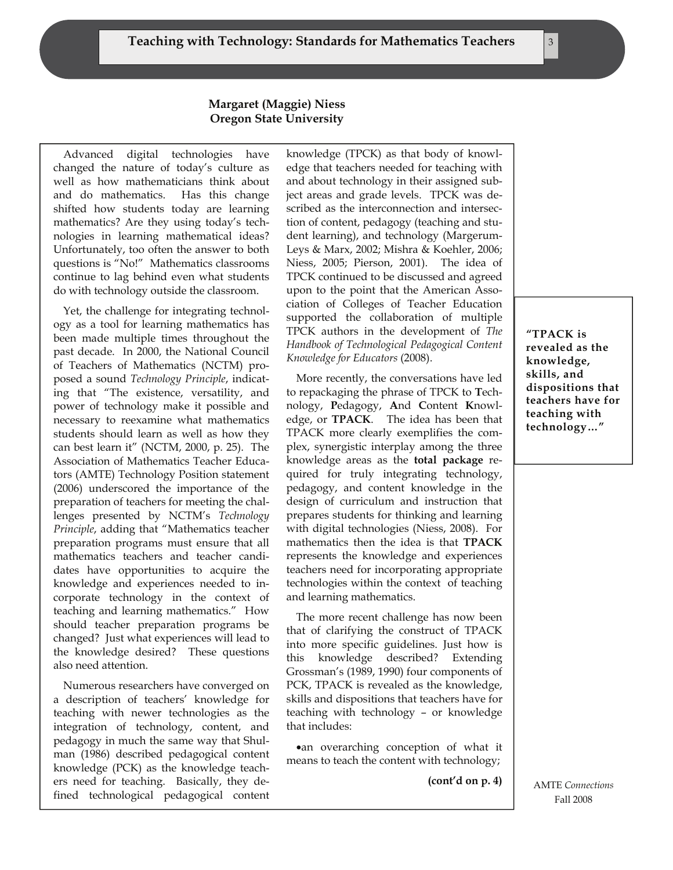#### **Margaret (Maggie) Niess Oregon State University**

Advanced digital technologies have changed the nature of today's culture as well as how mathematicians think about and do mathematics. Has this change shifted how students today are learning mathematics? Are they using today's technologies in learning mathematical ideas? Unfortunately, too often the answer to both questions is "No!" Mathematics classrooms continue to lag behind even what students do with technology outside the classroom.

Yet, the challenge for integrating technology as a tool for learning mathematics has been made multiple times throughout the past decade. In 2000, the National Council of Teachers of Mathematics (NCTM) proposed a sound *Technology Principle*, indicating that "The existence, versatility, and power of technology make it possible and necessary to reexamine what mathematics students should learn as well as how they can best learn it" (NCTM, 2000, p. 25). The Association of Mathematics Teacher Educators (AMTE) Technology Position statement (2006) underscored the importance of the preparation of teachers for meeting the challenges presented by NCTM's *Technology Principle*, adding that "Mathematics teacher preparation programs must ensure that all mathematics teachers and teacher candidates have opportunities to acquire the knowledge and experiences needed to incorporate technology in the context of teaching and learning mathematics." How should teacher preparation programs be changed? Just what experiences will lead to the knowledge desired? These questions also need attention.

Numerous researchers have converged on a description of teachers' knowledge for teaching with newer technologies as the integration of technology, content, and pedagogy in much the same way that Shulman (1986) described pedagogical content knowledge (PCK) as the knowledge teachers need for teaching. Basically, they defined technological pedagogical content

knowledge (TPCK) as that body of knowledge that teachers needed for teaching with and about technology in their assigned subject areas and grade levels. TPCK was described as the interconnection and intersection of content, pedagogy (teaching and student learning), and technology (Margerum-Leys & Marx, 2002; Mishra & Koehler, 2006; Niess, 2005; Pierson, 2001). The idea of TPCK continued to be discussed and agreed upon to the point that the American Association of Colleges of Teacher Education supported the collaboration of multiple TPCK authors in the development of *The Handbook of Technological Pedagogical Content Knowledge for Educators* (2008).

More recently, the conversations have led to repackaging the phrase of TPCK to **T**echnology, **P**edagogy, **A**nd **C**ontent **K**nowledge, or **TPACK**. The idea has been that TPACK more clearly exemplifies the complex, synergistic interplay among the three knowledge areas as the **total package** required for truly integrating technology, pedagogy, and content knowledge in the design of curriculum and instruction that prepares students for thinking and learning with digital technologies (Niess, 2008). For mathematics then the idea is that **TPACK**  represents the knowledge and experiences teachers need for incorporating appropriate technologies within the context of teaching and learning mathematics.

The more recent challenge has now been that of clarifying the construct of TPACK into more specific guidelines. Just how is this knowledge described? Extending Grossman's (1989, 1990) four components of PCK, TPACK is revealed as the knowledge, skills and dispositions that teachers have for teaching with technology – or knowledge that includes:

•an overarching conception of what it means to teach the content with technology;

**(cont'd on p. 4)** 

**"TPACK is revealed as the knowledge, skills, and dispositions that teachers have for teaching with technology…"** 

AMTE *Connections*  Fall 2008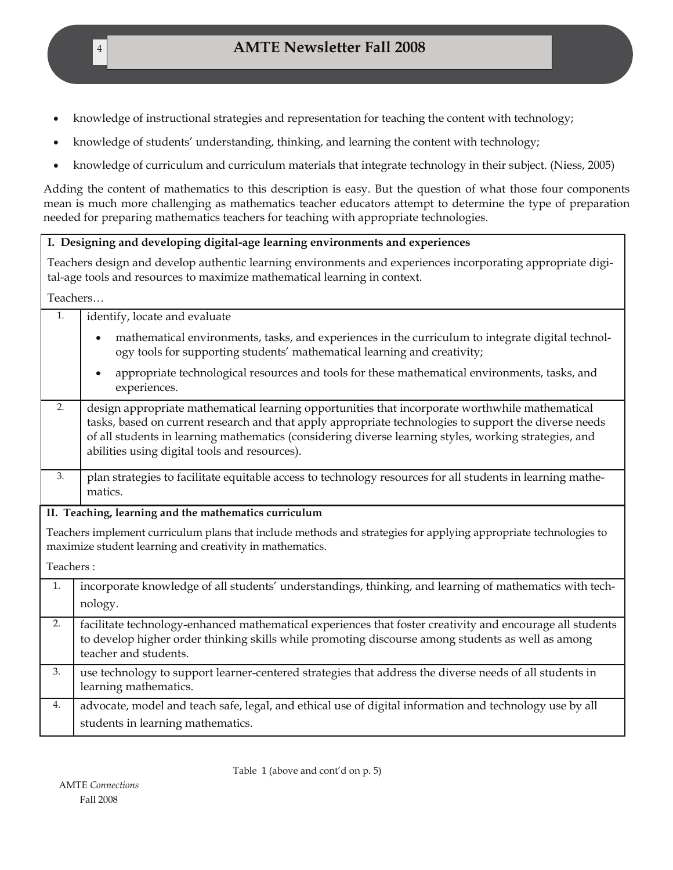- knowledge of instructional strategies and representation for teaching the content with technology;
- knowledge of students' understanding, thinking, and learning the content with technology;
- knowledge of curriculum and curriculum materials that integrate technology in their subject. (Niess, 2005)

Adding the content of mathematics to this description is easy. But the question of what those four components mean is much more challenging as mathematics teacher educators attempt to determine the type of preparation needed for preparing mathematics teachers for teaching with appropriate technologies.

#### **I. Designing and developing digital-age learning environments and experiences**

Teachers design and develop authentic learning environments and experiences incorporating appropriate digital-age tools and resources to maximize mathematical learning in context.

Teachers…

| 1.        | identify, locate and evaluate                                                                                                                                                                                                                                                                                                                                      |
|-----------|--------------------------------------------------------------------------------------------------------------------------------------------------------------------------------------------------------------------------------------------------------------------------------------------------------------------------------------------------------------------|
|           | mathematical environments, tasks, and experiences in the curriculum to integrate digital technol-<br>$\bullet$<br>ogy tools for supporting students' mathematical learning and creativity;                                                                                                                                                                         |
|           | appropriate technological resources and tools for these mathematical environments, tasks, and<br>experiences.                                                                                                                                                                                                                                                      |
| 2.        | design appropriate mathematical learning opportunities that incorporate worthwhile mathematical<br>tasks, based on current research and that apply appropriate technologies to support the diverse needs<br>of all students in learning mathematics (considering diverse learning styles, working strategies, and<br>abilities using digital tools and resources). |
| 3.        | plan strategies to facilitate equitable access to technology resources for all students in learning mathe-<br>matics.                                                                                                                                                                                                                                              |
|           | II. Teaching, learning and the mathematics curriculum                                                                                                                                                                                                                                                                                                              |
|           | Teachers implement curriculum plans that include methods and strategies for applying appropriate technologies to<br>maximize student learning and creativity in mathematics.                                                                                                                                                                                       |
| Teachers: |                                                                                                                                                                                                                                                                                                                                                                    |
| 1.        | incorporate knowledge of all students' understandings, thinking, and learning of mathematics with tech-<br>nology.                                                                                                                                                                                                                                                 |
| 2.        | facilitate technology-enhanced mathematical experiences that foster creativity and encourage all students<br>to develop higher order thinking skills while promoting discourse among students as well as among<br>teacher and students.                                                                                                                            |
| 3.        | use technology to support learner-centered strategies that address the diverse needs of all students in<br>learning mathematics.                                                                                                                                                                                                                                   |
| 4.        | advocate, model and teach safe, legal, and ethical use of digital information and technology use by all<br>students in learning mathematics.                                                                                                                                                                                                                       |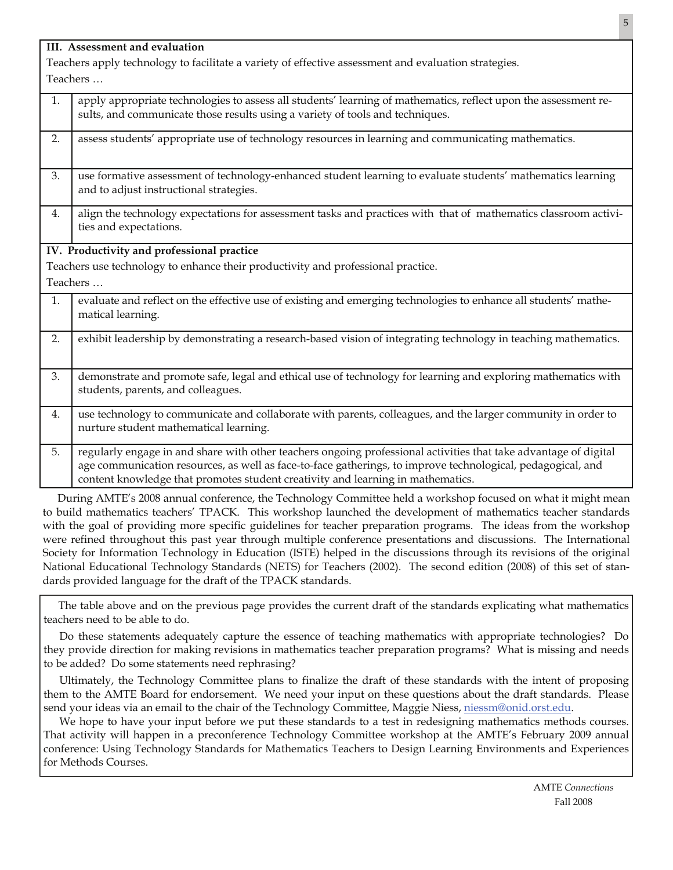|          | III. Assessment and evaluation                                                                                                                                                                                                                                                                                     |  |  |  |  |
|----------|--------------------------------------------------------------------------------------------------------------------------------------------------------------------------------------------------------------------------------------------------------------------------------------------------------------------|--|--|--|--|
|          | Teachers apply technology to facilitate a variety of effective assessment and evaluation strategies.                                                                                                                                                                                                               |  |  |  |  |
| Teachers |                                                                                                                                                                                                                                                                                                                    |  |  |  |  |
| 1.       | apply appropriate technologies to assess all students' learning of mathematics, reflect upon the assessment re-<br>sults, and communicate those results using a variety of tools and techniques.                                                                                                                   |  |  |  |  |
| 2.       | assess students' appropriate use of technology resources in learning and communicating mathematics.                                                                                                                                                                                                                |  |  |  |  |
| 3.       | use formative assessment of technology-enhanced student learning to evaluate students' mathematics learning<br>and to adjust instructional strategies.                                                                                                                                                             |  |  |  |  |
| 4.       | align the technology expectations for assessment tasks and practices with that of mathematics classroom activi-<br>ties and expectations.                                                                                                                                                                          |  |  |  |  |
|          | IV. Productivity and professional practice                                                                                                                                                                                                                                                                         |  |  |  |  |
|          | Teachers use technology to enhance their productivity and professional practice.                                                                                                                                                                                                                                   |  |  |  |  |
| Teachers |                                                                                                                                                                                                                                                                                                                    |  |  |  |  |
| 1.       | evaluate and reflect on the effective use of existing and emerging technologies to enhance all students' mathe-<br>matical learning.                                                                                                                                                                               |  |  |  |  |
| 2.       | exhibit leadership by demonstrating a research-based vision of integrating technology in teaching mathematics.                                                                                                                                                                                                     |  |  |  |  |
| 3.       | demonstrate and promote safe, legal and ethical use of technology for learning and exploring mathematics with<br>students, parents, and colleagues.                                                                                                                                                                |  |  |  |  |
| 4.       | use technology to communicate and collaborate with parents, colleagues, and the larger community in order to<br>nurture student mathematical learning.                                                                                                                                                             |  |  |  |  |
| 5.       | regularly engage in and share with other teachers ongoing professional activities that take advantage of digital<br>age communication resources, as well as face-to-face gatherings, to improve technological, pedagogical, and<br>content knowledge that promotes student creativity and learning in mathematics. |  |  |  |  |

During AMTE's 2008 annual conference, the Technology Committee held a workshop focused on what it might mean to build mathematics teachers' TPACK. This workshop launched the development of mathematics teacher standards with the goal of providing more specific guidelines for teacher preparation programs. The ideas from the workshop were refined throughout this past year through multiple conference presentations and discussions. The International Society for Information Technology in Education (ISTE) helped in the discussions through its revisions of the original National Educational Technology Standards (NETS) for Teachers (2002). The second edition (2008) of this set of standards provided language for the draft of the TPACK standards.

The table above and on the previous page provides the current draft of the standards explicating what mathematics teachers need to be able to do.

 Do these statements adequately capture the essence of teaching mathematics with appropriate technologies? Do they provide direction for making revisions in mathematics teacher preparation programs? What is missing and needs to be added? Do some statements need rephrasing?

 Ultimately, the Technology Committee plans to finalize the draft of these standards with the intent of proposing them to the AMTE Board for endorsement. We need your input on these questions about the draft standards. Please send your ideas via an email to the chair of the Technology Committee, Maggie Niess, [niessm@onid.orst.edu](mailto:niessm@onid.orst.edu).

We hope to have your input before we put these standards to a test in redesigning mathematics methods courses. That activity will happen in a preconference Technology Committee workshop at the AMTE's February 2009 annual conference: Using Technology Standards for Mathematics Teachers to Design Learning Environments and Experiences for Methods Courses.

5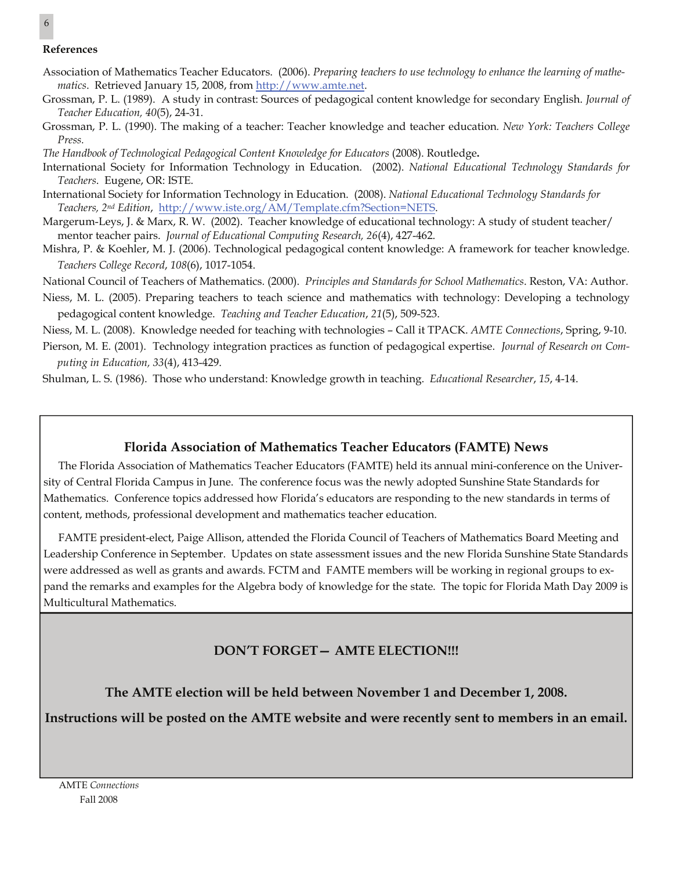#### **References**

- Association of Mathematics Teacher Educators. (2006). *Preparing teachers to use technology to enhance the learning of mathematics*. Retrieved January 15, 2008, from <http://www.amte.net>.
- Grossman, P. L. (1989). A study in contrast: Sources of pedagogical content knowledge for secondary English. *Journal of Teacher Education, 40*(5), 24-31.
- Grossman, P. L. (1990). The making of a teacher: Teacher knowledge and teacher education*. New York: Teachers College Press.*

*The Handbook of Technological Pedagogical Content Knowledge for Educators* (2008). Routledge**.**

- International Society for Information Technology in Education. (2002). *National Educational Technology Standards for Teachers*. Eugene, OR: ISTE.
- International Society for Information Technology in Education. (2008). *National Educational Technology Standards for Teachers, 2nd Edition*, <http://www.iste.org/AM/Template.cfm?Section=NETS>.
- Margerum-Leys, J. & Marx, R. W. (2002). Teacher knowledge of educational technology: A study of student teacher/ mentor teacher pairs. *Journal of Educational Computing Research, 26*(4), 427-462.
- Mishra, P. & Koehler, M. J. (2006). Technological pedagogical content knowledge: A framework for teacher knowledge. *Teachers College Record*, *108*(6), 1017-1054.
- National Council of Teachers of Mathematics. (2000). *Principles and Standards for School Mathematics*. Reston, VA: Author.
- Niess, M. L. (2005). Preparing teachers to teach science and mathematics with technology: Developing a technology pedagogical content knowledge. *Teaching and Teacher Education*, *21*(5), 509-523.

Niess, M. L. (2008). Knowledge needed for teaching with technologies – Call it TPACK. *AMTE Connections*, Spring, 9-10.

Pierson, M. E. (2001). Technology integration practices as function of pedagogical expertise. *Journal of Research on Computing in Education, 33*(4), 413-429.

Shulman, L. S. (1986). Those who understand: Knowledge growth in teaching. *Educational Researcher*, *15*, 4-14.

#### **Florida Association of Mathematics Teacher Educators (FAMTE) News**

The Florida Association of Mathematics Teacher Educators (FAMTE) held its annual mini-conference on the University of Central Florida Campus in June. The conference focus was the newly adopted Sunshine State Standards for Mathematics. Conference topics addressed how Florida's educators are responding to the new standards in terms of content, methods, professional development and mathematics teacher education.

FAMTE president-elect, Paige Allison, attended the Florida Council of Teachers of Mathematics Board Meeting and Leadership Conference in September. Updates on state assessment issues and the new Florida Sunshine State Standards were addressed as well as grants and awards. FCTM and FAMTE members will be working in regional groups to expand the remarks and examples for the Algebra body of knowledge for the state. The topic for Florida Math Day 2009 is Multicultural Mathematics.

#### **DON'T FORGET— AMTE ELECTION!!!**

**The AMTE election will be held between November 1 and December 1, 2008.** 

**Instructions will be posted on the AMTE website and were recently sent to members in an email.** 

6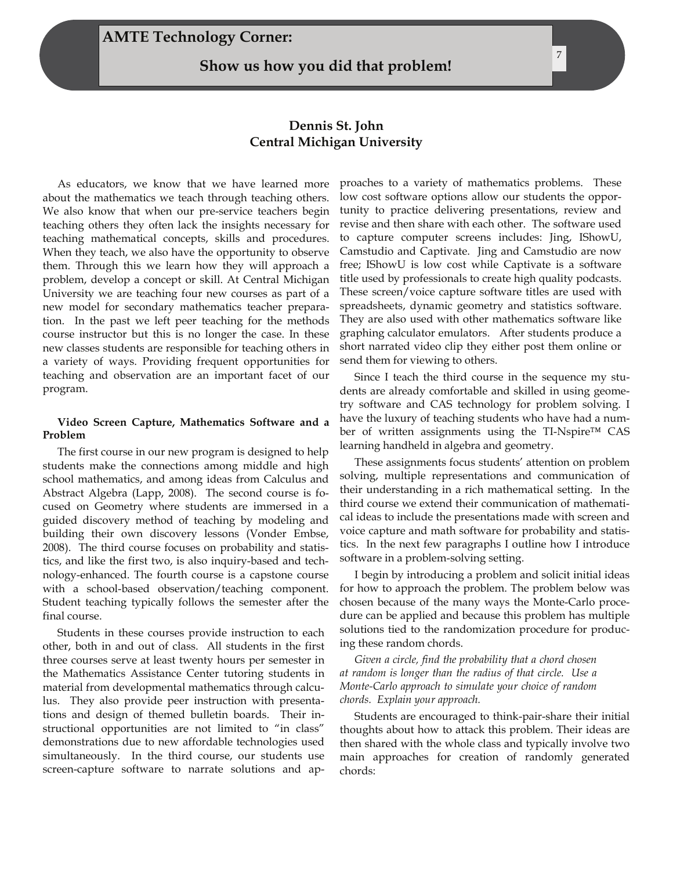#### **AMTE Technology Corner:**

**Show us how you did that problem!** 

#### **Dennis St. John Central Michigan University**

As educators, we know that we have learned more about the mathematics we teach through teaching others. We also know that when our pre-service teachers begin teaching others they often lack the insights necessary for teaching mathematical concepts, skills and procedures. When they teach, we also have the opportunity to observe them. Through this we learn how they will approach a problem, develop a concept or skill. At Central Michigan University we are teaching four new courses as part of a new model for secondary mathematics teacher preparation. In the past we left peer teaching for the methods course instructor but this is no longer the case. In these new classes students are responsible for teaching others in a variety of ways. Providing frequent opportunities for teaching and observation are an important facet of our program.

#### **Video Screen Capture, Mathematics Software and a Problem**

The first course in our new program is designed to help students make the connections among middle and high school mathematics, and among ideas from Calculus and Abstract Algebra (Lapp, 2008). The second course is focused on Geometry where students are immersed in a guided discovery method of teaching by modeling and building their own discovery lessons (Vonder Embse, 2008). The third course focuses on probability and statistics, and like the first two, is also inquiry-based and technology-enhanced. The fourth course is a capstone course with a school-based observation/teaching component. Student teaching typically follows the semester after the final course.

Students in these courses provide instruction to each other, both in and out of class. All students in the first three courses serve at least twenty hours per semester in the Mathematics Assistance Center tutoring students in material from developmental mathematics through calculus. They also provide peer instruction with presentations and design of themed bulletin boards. Their instructional opportunities are not limited to "in class" demonstrations due to new affordable technologies used simultaneously. In the third course, our students use screen-capture software to narrate solutions and approaches to a variety of mathematics problems. These low cost software options allow our students the opportunity to practice delivering presentations, review and revise and then share with each other. The software used to capture computer screens includes: Jing, IShowU, Camstudio and Captivate. Jing and Camstudio are now free; IShowU is low cost while Captivate is a software title used by professionals to create high quality podcasts. These screen/voice capture software titles are used with spreadsheets, dynamic geometry and statistics software. They are also used with other mathematics software like graphing calculator emulators. After students produce a short narrated video clip they either post them online or send them for viewing to others.

Since I teach the third course in the sequence my students are already comfortable and skilled in using geometry software and CAS technology for problem solving. I have the luxury of teaching students who have had a number of written assignments using the TI-Nspire™ CAS learning handheld in algebra and geometry.

These assignments focus students' attention on problem solving, multiple representations and communication of their understanding in a rich mathematical setting. In the third course we extend their communication of mathematical ideas to include the presentations made with screen and voice capture and math software for probability and statistics. In the next few paragraphs I outline how I introduce software in a problem-solving setting.

I begin by introducing a problem and solicit initial ideas for how to approach the problem. The problem below was chosen because of the many ways the Monte-Carlo procedure can be applied and because this problem has multiple solutions tied to the randomization procedure for producing these random chords.

*Given a circle, find the probability that a chord chosen at random is longer than the radius of that circle. Use a Monte-Carlo approach to simulate your choice of random chords. Explain your approach.* 

Students are encouraged to think-pair-share their initial thoughts about how to attack this problem. Their ideas are then shared with the whole class and typically involve two main approaches for creation of randomly generated chords: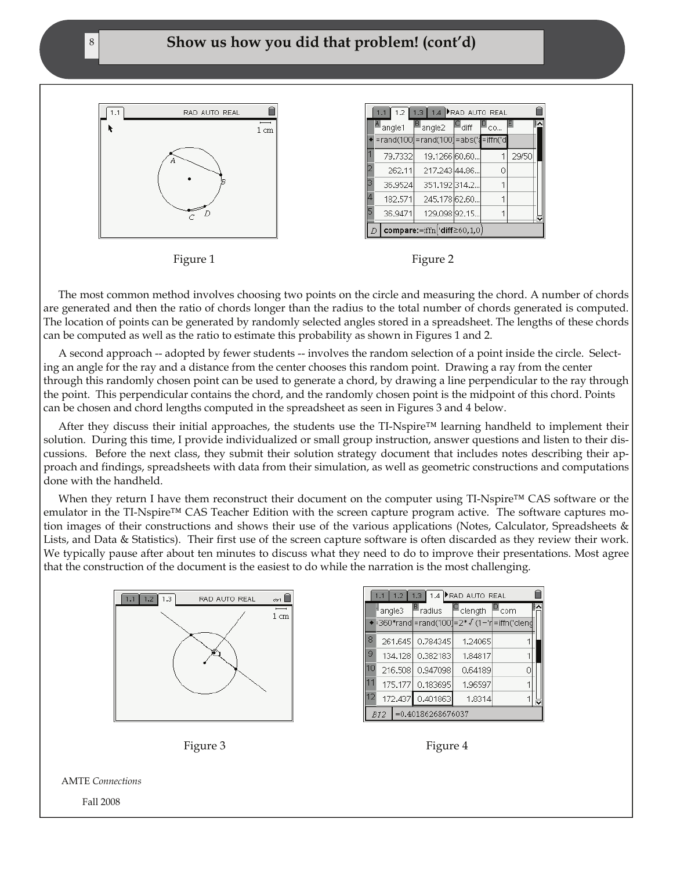#### 8 **Show us how you did that problem! (cont'd)**



 $1.1$   $1.2$ 1.3 1.4 **FRAD AUTO REAL** ſ <sup>¶</sup>angle1 angle2  $∎$ diff ≝co,  $=$ rand $(100$ =rand(100)=abs( =iffn(' 79.7332 19.1266 60.60 29/50 217.243 44.86. 262.11  $\Omega$ 36.9524 351.192314.2. 182.571 245.178 62.60. 1 36.9471 129.098 92.15.  $\overline{1}$ compare:=iffn('diff≥60,1,0



The most common method involves choosing two points on the circle and measuring the chord. A number of chords are generated and then the ratio of chords longer than the radius to the total number of chords generated is computed. The location of points can be generated by randomly selected angles stored in a spreadsheet. The lengths of these chords can be computed as well as the ratio to estimate this probability as shown in Figures 1 and 2.

A second approach -- adopted by fewer students -- involves the random selection of a point inside the circle. Selecting an angle for the ray and a distance from the center chooses this random point. Drawing a ray from the center through this randomly chosen point can be used to generate a chord, by drawing a line perpendicular to the ray through the point. This perpendicular contains the chord, and the randomly chosen point is the midpoint of this chord. Points can be chosen and chord lengths computed in the spreadsheet as seen in Figures 3 and 4 below.

After they discuss their initial approaches, the students use the TI-Nspire™ learning handheld to implement their solution. During this time, I provide individualized or small group instruction, answer questions and listen to their discussions. Before the next class, they submit their solution strategy document that includes notes describing their approach and findings, spreadsheets with data from their simulation, as well as geometric constructions and computations done with the handheld.

When they return I have them reconstruct their document on the computer using TI-Nspire™ CAS software or the emulator in the TI-Nspire™ CAS Teacher Edition with the screen capture program active. The software captures motion images of their constructions and shows their use of the various applications (Notes, Calculator, Spreadsheets & Lists, and Data & Statistics). Their first use of the screen capture software is often discarded as they review their work. We typically pause after about ten minutes to discuss what they need to do to improve their presentations. Most agree that the construction of the document is the easiest to do while the narration is the most challenging.







AMTE *Connections* 

Fall 2008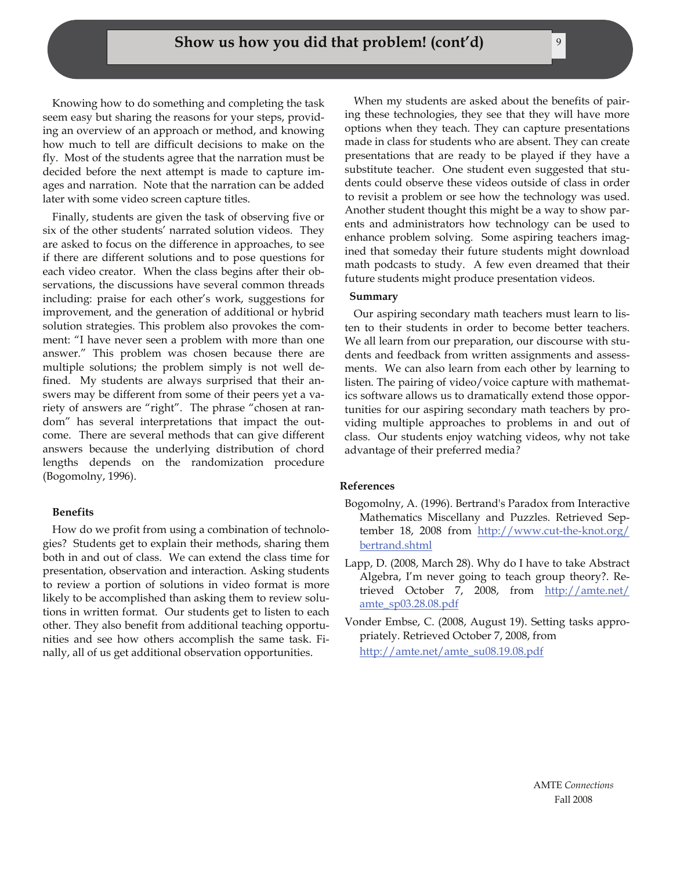Knowing how to do something and completing the task seem easy but sharing the reasons for your steps, providing an overview of an approach or method, and knowing how much to tell are difficult decisions to make on the fly. Most of the students agree that the narration must be decided before the next attempt is made to capture images and narration. Note that the narration can be added later with some video screen capture titles.

Finally, students are given the task of observing five or six of the other students' narrated solution videos. They are asked to focus on the difference in approaches, to see if there are different solutions and to pose questions for each video creator. When the class begins after their observations, the discussions have several common threads including: praise for each other's work, suggestions for improvement, and the generation of additional or hybrid solution strategies. This problem also provokes the comment: "I have never seen a problem with more than one answer." This problem was chosen because there are multiple solutions; the problem simply is not well defined. My students are always surprised that their answers may be different from some of their peers yet a variety of answers are "right". The phrase "chosen at random" has several interpretations that impact the outcome. There are several methods that can give different answers because the underlying distribution of chord lengths depends on the randomization procedure (Bogomolny, 1996).

#### **Benefits**

How do we profit from using a combination of technologies? Students get to explain their methods, sharing them both in and out of class. We can extend the class time for presentation, observation and interaction. Asking students to review a portion of solutions in video format is more likely to be accomplished than asking them to review solutions in written format. Our students get to listen to each other. They also benefit from additional teaching opportunities and see how others accomplish the same task. Finally, all of us get additional observation opportunities.

When my students are asked about the benefits of pairing these technologies, they see that they will have more options when they teach. They can capture presentations made in class for students who are absent. They can create presentations that are ready to be played if they have a substitute teacher. One student even suggested that students could observe these videos outside of class in order to revisit a problem or see how the technology was used. Another student thought this might be a way to show parents and administrators how technology can be used to enhance problem solving. Some aspiring teachers imagined that someday their future students might download math podcasts to study. A few even dreamed that their future students might produce presentation videos.

#### **Summary**

Our aspiring secondary math teachers must learn to listen to their students in order to become better teachers. We all learn from our preparation, our discourse with students and feedback from written assignments and assessments. We can also learn from each other by learning to listen. The pairing of video/voice capture with mathematics software allows us to dramatically extend those opportunities for our aspiring secondary math teachers by providing multiple approaches to problems in and out of class. Our students enjoy watching videos, why not take advantage of their preferred media*?* 

#### **References**

- Bogomolny, A. (1996). Bertrand's Paradox from Interactive Mathematics Miscellany and Puzzles. Retrieved September 18, 2008 from [http://www.cut-the-knot.org/](http://www.cut-the-knot.org/bertrand.shtml) [bertrand.shtml](http://www.cut-the-knot.org/bertrand.shtml)
- Lapp, D. (2008, March 28). Why do I have to take Abstract Algebra, I'm never going to teach group theory?. Retrieved October 7, 2008, from [http://amte.net/](http://amte.net/amte_sp03.28.08.pdf) [amte\\_sp03.28.08.pdf](http://amte.net/amte_sp03.28.08.pdf)
- Vonder Embse, C. (2008, August 19). Setting tasks appropriately. Retrieved October 7, 2008, from [http://amte.net/amte\\_su08.19.08.pdf](http://amte.net/amte_su08.19.08.pdf)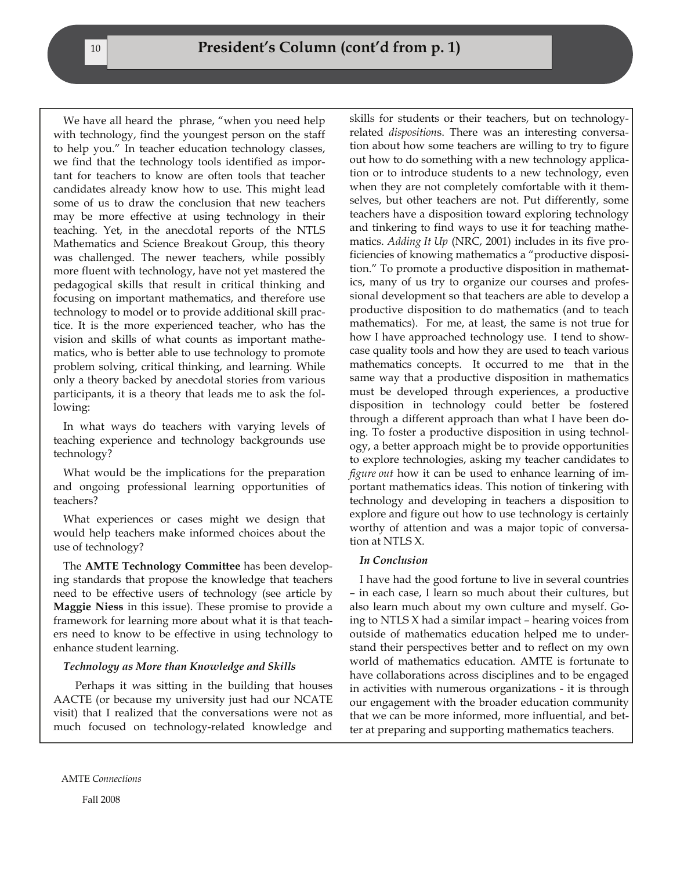We have all heard the phrase, "when you need help with technology, find the youngest person on the staff to help you." In teacher education technology classes, we find that the technology tools identified as important for teachers to know are often tools that teacher candidates already know how to use. This might lead some of us to draw the conclusion that new teachers may be more effective at using technology in their teaching. Yet, in the anecdotal reports of the NTLS Mathematics and Science Breakout Group, this theory was challenged. The newer teachers, while possibly more fluent with technology, have not yet mastered the pedagogical skills that result in critical thinking and focusing on important mathematics, and therefore use technology to model or to provide additional skill practice. It is the more experienced teacher, who has the vision and skills of what counts as important mathematics, who is better able to use technology to promote problem solving, critical thinking, and learning. While only a theory backed by anecdotal stories from various participants, it is a theory that leads me to ask the following:

In what ways do teachers with varying levels of teaching experience and technology backgrounds use technology?

What would be the implications for the preparation and ongoing professional learning opportunities of teachers?

What experiences or cases might we design that would help teachers make informed choices about the use of technology?

The **AMTE Technology Committee** has been developing standards that propose the knowledge that teachers need to be effective users of technology (see article by **Maggie Niess** in this issue). These promise to provide a framework for learning more about what it is that teachers need to know to be effective in using technology to enhance student learning.

#### *Technology as More than Knowledge and Skills*

 Perhaps it was sitting in the building that houses AACTE (or because my university just had our NCATE visit) that I realized that the conversations were not as much focused on technology-related knowledge and

skills for students or their teachers, but on technologyrelated *disposition*s. There was an interesting conversation about how some teachers are willing to try to figure out how to do something with a new technology application or to introduce students to a new technology, even when they are not completely comfortable with it themselves, but other teachers are not. Put differently, some teachers have a disposition toward exploring technology and tinkering to find ways to use it for teaching mathematics. *Adding It Up* (NRC, 2001) includes in its five proficiencies of knowing mathematics a "productive disposition." To promote a productive disposition in mathematics, many of us try to organize our courses and professional development so that teachers are able to develop a productive disposition to do mathematics (and to teach mathematics). For me, at least, the same is not true for how I have approached technology use. I tend to showcase quality tools and how they are used to teach various mathematics concepts. It occurred to me that in the same way that a productive disposition in mathematics must be developed through experiences, a productive disposition in technology could better be fostered through a different approach than what I have been doing. To foster a productive disposition in using technology, a better approach might be to provide opportunities to explore technologies, asking my teacher candidates to *figure out* how it can be used to enhance learning of important mathematics ideas. This notion of tinkering with technology and developing in teachers a disposition to explore and figure out how to use technology is certainly worthy of attention and was a major topic of conversation at NTLS X.

#### *In Conclusion*

I have had the good fortune to live in several countries – in each case, I learn so much about their cultures, but also learn much about my own culture and myself. Going to NTLS X had a similar impact – hearing voices from outside of mathematics education helped me to understand their perspectives better and to reflect on my own world of mathematics education. AMTE is fortunate to have collaborations across disciplines and to be engaged in activities with numerous organizations - it is through our engagement with the broader education community that we can be more informed, more influential, and better at preparing and supporting mathematics teachers.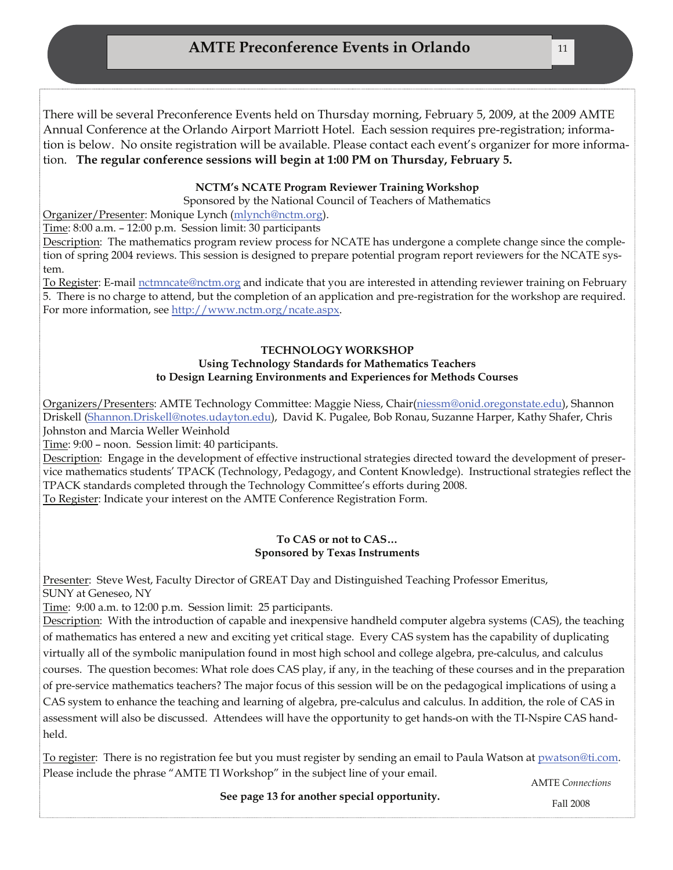There will be several Preconference Events held on Thursday morning, February 5, 2009, at the 2009 AMTE Annual Conference at the Orlando Airport Marriott Hotel. Each session requires pre-registration; information is below. No onsite registration will be available. Please contact each event's organizer for more information. **The regular conference sessions will begin at 1:00 PM on Thursday, February 5.** 

#### **NCTM's NCATE Program Reviewer Training Workshop**

Sponsored by the National Council of Teachers of Mathematics

Organizer/Presenter: Monique Lynch ([mlynch@nctm.org](mailto:mlynch@nctm.org)).

Time: 8:00 a.m. – 12:00 p.m. Session limit: 30 participants

Description: The mathematics program review process for NCATE has undergone a complete change since the completion of spring 2004 reviews. This session is designed to prepare potential program report reviewers for the NCATE system.

To Register: E-mail [nctmncate@nctm.org](mailto:nctmncate@nctm.org) and indicate that you are interested in attending reviewer training on February 5. There is no charge to attend, but the completion of an application and pre-registration for the workshop are required. For more information, see<http://www.nctm.org/ncate.aspx>.

#### **TECHNOLOGY WORKSHOP Using Technology Standards for Mathematics Teachers to Design Learning Environments and Experiences for Methods Courses**

Organizers/Presenters: AMTE Technology Committee: Maggie Niess, Chair([niessm@onid.oregonstate.edu](mailto:niessm@onid.oregonstate.edu)), Shannon Driskell [\(Shannon.Driskell@notes.udayton.edu](mailto:Shannon.Driskell@notes.udayton.edu)), David K. Pugalee, Bob Ronau, Suzanne Harper, Kathy Shafer, Chris Johnston and Marcia Weller Weinhold

Time: 9:00 – noon. Session limit: 40 participants.

Description: Engage in the development of effective instructional strategies directed toward the development of preservice mathematics students' TPACK (Technology, Pedagogy, and Content Knowledge). Instructional strategies reflect the TPACK standards completed through the Technology Committee's efforts during 2008. To Register: Indicate your interest on the AMTE Conference Registration Form.

## **To CAS or not to CAS…**

#### **Sponsored by Texas Instruments**

Presenter: Steve West, Faculty Director of GREAT Day and Distinguished Teaching Professor Emeritus, SUNY at Geneseo, NY

Time: 9:00 a.m. to 12:00 p.m. Session limit: 25 participants.

Description: With the introduction of capable and inexpensive handheld computer algebra systems (CAS), the teaching of mathematics has entered a new and exciting yet critical stage. Every CAS system has the capability of duplicating virtually all of the symbolic manipulation found in most high school and college algebra, pre-calculus, and calculus courses. The question becomes: What role does CAS play, if any, in the teaching of these courses and in the preparation of pre-service mathematics teachers? The major focus of this session will be on the pedagogical implications of using a CAS system to enhance the teaching and learning of algebra, pre-calculus and calculus. In addition, the role of CAS in assessment will also be discussed. Attendees will have the opportunity to get hands-on with the TI-Nspire CAS handheld.

To register: There is no registration fee but you must register by sending an email to Paula Watson at [pwatson@ti.com](mailto:pwatson@ti.com). Please include the phrase "AMTE TI Workshop" in the subject line of your email.

AMTE *Connections* 

 **See page 13 for another special opportunity.** 

Fall 2008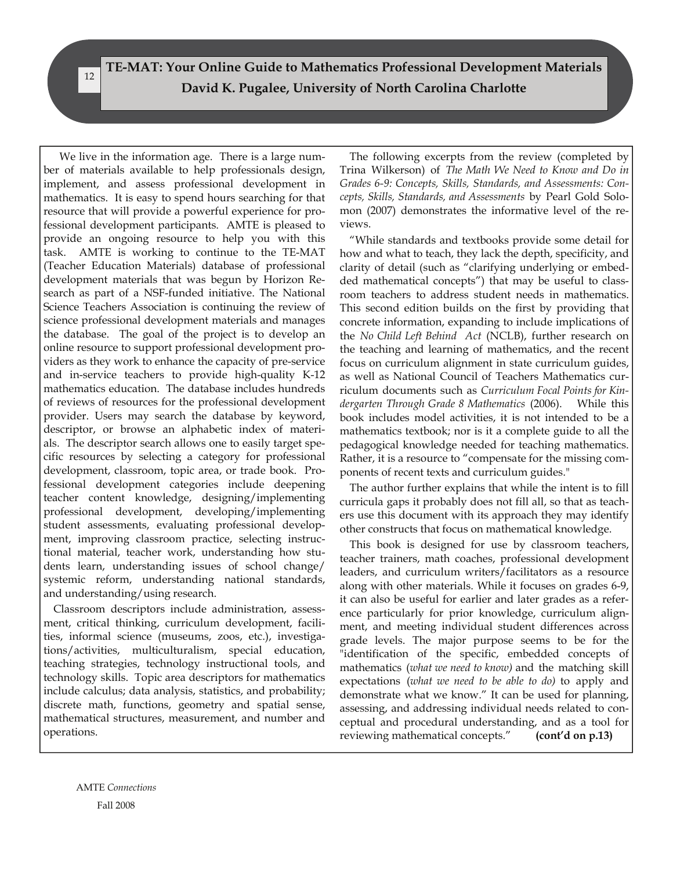**TE-MAT: Your Online Guide to Mathematics Professional Development Materials David K. Pugalee, University of North Carolina Charlotte** 

 We live in the information age. There is a large number of materials available to help professionals design, implement, and assess professional development in mathematics. It is easy to spend hours searching for that resource that will provide a powerful experience for professional development participants. AMTE is pleased to provide an ongoing resource to help you with this task. AMTE is working to continue to the TE-MAT (Teacher Education Materials) database of professional development materials that was begun by Horizon Research as part of a NSF-funded initiative. The National Science Teachers Association is continuing the review of science professional development materials and manages the database. The goal of the project is to develop an online resource to support professional development providers as they work to enhance the capacity of pre-service and in-service teachers to provide high-quality K-12 mathematics education. The database includes hundreds of reviews of resources for the professional development provider. Users may search the database by keyword, descriptor, or browse an alphabetic index of materials. The descriptor search allows one to easily target specific resources by selecting a category for professional development, classroom, topic area, or trade book. Professional development categories include deepening teacher content knowledge, designing/implementing professional development, developing/implementing student assessments, evaluating professional development, improving classroom practice, selecting instructional material, teacher work, understanding how students learn, understanding issues of school change/ systemic reform, understanding national standards, and understanding/using research.

Classroom descriptors include administration, assessment, critical thinking, curriculum development, facilities, informal science (museums, zoos, etc.), investigations/activities, multiculturalism, special education, teaching strategies, technology instructional tools, and technology skills. Topic area descriptors for mathematics include calculus; data analysis, statistics, and probability; discrete math, functions, geometry and spatial sense, mathematical structures, measurement, and number and operations.

The following excerpts from the review (completed by Trina Wilkerson) of *The Math We Need to Know and Do in Grades 6-9: Concepts, Skills, Standards, and Assessments: Concepts, Skills, Standards, and Assessments* by Pearl Gold Solomon (2007) demonstrates the informative level of the reviews.

"While standards and textbooks provide some detail for how and what to teach, they lack the depth, specificity, and clarity of detail (such as "clarifying underlying or embedded mathematical concepts") that may be useful to classroom teachers to address student needs in mathematics. This second edition builds on the first by providing that concrete information, expanding to include implications of the *No Child Left Behind Act* (NCLB), further research on the teaching and learning of mathematics, and the recent focus on curriculum alignment in state curriculum guides, as well as National Council of Teachers Mathematics curriculum documents such as *Curriculum Focal Points for Kindergarten Through Grade 8 Mathematics* (2006). While this book includes model activities, it is not intended to be a mathematics textbook; nor is it a complete guide to all the pedagogical knowledge needed for teaching mathematics. Rather, it is a resource to "compensate for the missing components of recent texts and curriculum guides."

The author further explains that while the intent is to fill curricula gaps it probably does not fill all, so that as teachers use this document with its approach they may identify other constructs that focus on mathematical knowledge.

This book is designed for use by classroom teachers, teacher trainers, math coaches, professional development leaders, and curriculum writers/facilitators as a resource along with other materials. While it focuses on grades 6-9, it can also be useful for earlier and later grades as a reference particularly for prior knowledge, curriculum alignment, and meeting individual student differences across grade levels. The major purpose seems to be for the "identification of the specific, embedded concepts of mathematics (*what we need to know)* and the matching skill expectations (*what we need to be able to do)* to apply and demonstrate what we know." It can be used for planning, assessing, and addressing individual needs related to conceptual and procedural understanding, and as a tool for reviewing mathematical concepts." **(cont'd on p.13)** 

12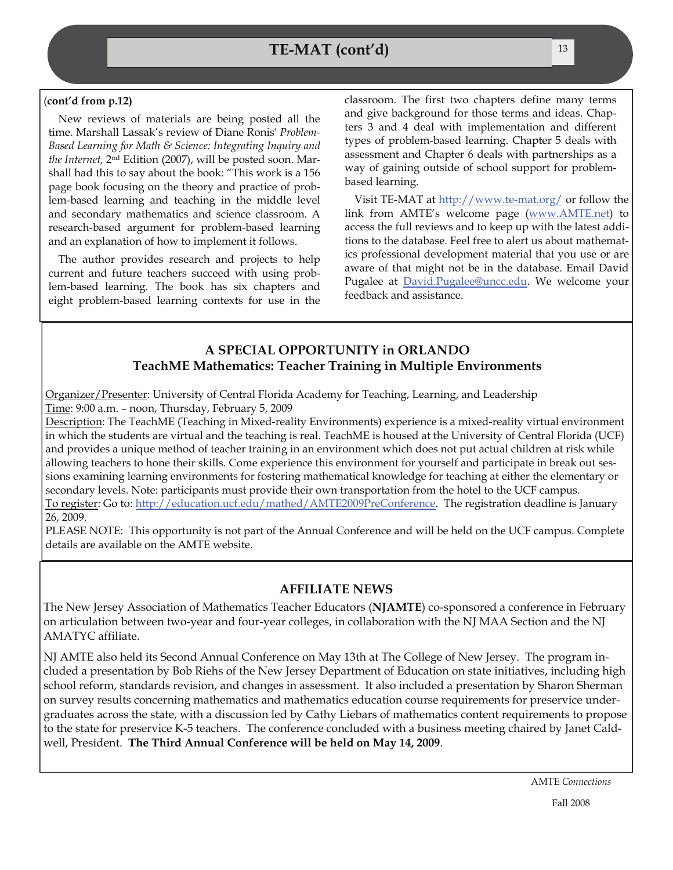#### (**cont'd from p.12)**

New reviews of materials are being posted all the time. Marshall Lassak's review of Diane Ronis' *Problem-Based Learning for Math & Science: Integrating Inquiry and the Internet,* 2nd Edition (2007), will be posted soon. Marshall had this to say about the book: "This work is a 156 page book focusing on the theory and practice of problem-based learning and teaching in the middle level and secondary mathematics and science classroom. A research-based argument for problem-based learning and an explanation of how to implement it follows.

The author provides research and projects to help current and future teachers succeed with using problem-based learning. The book has six chapters and eight problem-based learning contexts for use in the classroom. The first two chapters define many terms and give background for those terms and ideas. Chapters 3 and 4 deal with implementation and different types of problem-based learning. Chapter 5 deals with assessment and Chapter 6 deals with partnerships as a way of gaining outside of school support for problembased learning.

Visit TE-MAT at <http://www.te-mat.org/> or follow the link from AMTE's welcome page ([www.AMTE.net](http://www.AMTE.net)) to access the full reviews and to keep up with the latest additions to the database. Feel free to alert us about mathematics professional development material that you use or are aware of that might not be in the database. Email David Pugalee at [David.Pugalee@uncc.edu](mailto:David.Pugalee@uncc.edu). We welcome your feedback and assistance.

#### **A SPECIAL OPPORTUNITY in ORLANDO TeachME Mathematics: Teacher Training in Multiple Environments**

Organizer/Presenter: University of Central Florida Academy for Teaching, Learning, and Leadership Time: 9:00 a.m. – noon, Thursday, February 5, 2009

Description: The TeachME (Teaching in Mixed-reality Environments) experience is a mixed-reality virtual environment in which the students are virtual and the teaching is real. TeachME is housed at the University of Central Florida (UCF) and provides a unique method of teacher training in an environment which does not put actual children at risk while allowing teachers to hone their skills. Come experience this environment for yourself and participate in break out sessions examining learning environments for fostering mathematical knowledge for teaching at either the elementary or secondary levels. Note: participants must provide their own transportation from the hotel to the UCF campus. To register: Go to: <http://education.ucf.edu/mathed/AMTE2009PreConference>. The registration deadline is January 26, 2009.

PLEASE NOTE: This opportunity is not part of the Annual Conference and will be held on the UCF campus. Complete details are available on the AMTE website.

#### **AFFILIATE NEWS**

The New Jersey Association of Mathematics Teacher Educators (**NJAMTE**) co-sponsored a conference in February on articulation between two-year and four-year colleges, in collaboration with the NJ MAA Section and the NJ AMATYC affiliate.

NJ AMTE also held its Second Annual Conference on May 13th at The College of New Jersey. The program included a presentation by Bob Riehs of the New Jersey Department of Education on state initiatives, including high school reform, standards revision, and changes in assessment. It also included a presentation by Sharon Sherman on survey results concerning mathematics and mathematics education course requirements for preservice undergraduates across the state, with a discussion led by Cathy Liebars of mathematics content requirements to propose to the state for preservice K-5 teachers. The conference concluded with a business meeting chaired by Janet Caldwell, President. **The Third Annual Conference will be held on May 14, 2009**.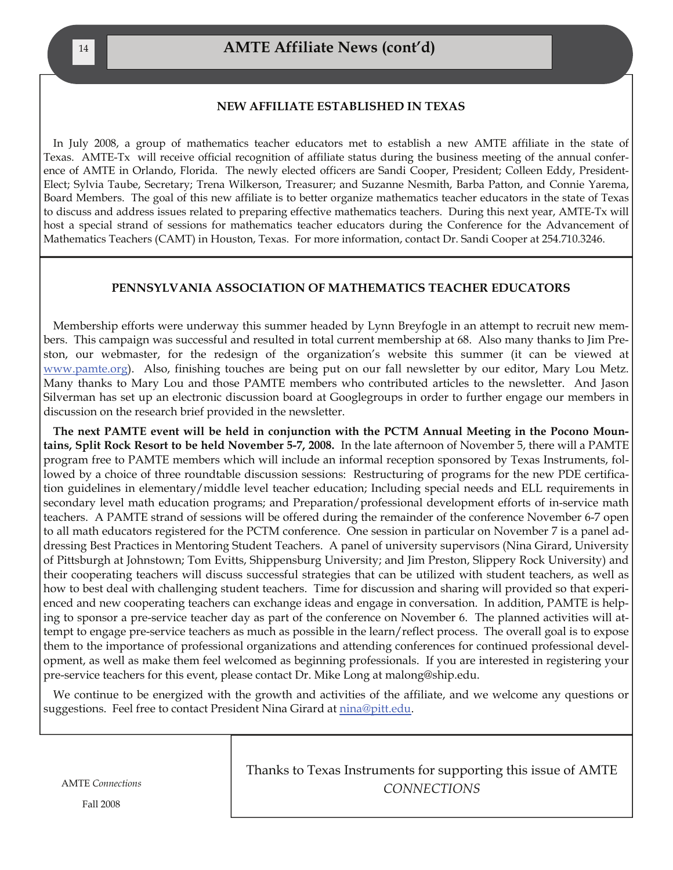#### **NEW AFFILIATE ESTABLISHED IN TEXAS**

In July 2008, a group of mathematics teacher educators met to establish a new AMTE affiliate in the state of Texas. AMTE-Tx will receive official recognition of affiliate status during the business meeting of the annual conference of AMTE in Orlando, Florida. The newly elected officers are Sandi Cooper, President; Colleen Eddy, President-Elect; Sylvia Taube, Secretary; Trena Wilkerson, Treasurer; and Suzanne Nesmith, Barba Patton, and Connie Yarema, Board Members. The goal of this new affiliate is to better organize mathematics teacher educators in the state of Texas to discuss and address issues related to preparing effective mathematics teachers. During this next year, AMTE-Tx will host a special strand of sessions for mathematics teacher educators during the Conference for the Advancement of Mathematics Teachers (CAMT) in Houston, Texas. For more information, contact Dr. Sandi Cooper at 254.710.3246.

#### **PENNSYLVANIA ASSOCIATION OF MATHEMATICS TEACHER EDUCATORS**

Membership efforts were underway this summer headed by Lynn Breyfogle in an attempt to recruit new members. This campaign was successful and resulted in total current membership at 68. Also many thanks to Jim Preston, our webmaster, for the redesign of the organization's website this summer (it can be viewed at [www.pamte.org](http://www.pamte.org/)). Also, finishing touches are being put on our fall newsletter by our editor, Mary Lou Metz. Many thanks to Mary Lou and those PAMTE members who contributed articles to the newsletter. And Jason Silverman has set up an electronic discussion board at Googlegroups in order to further engage our members in discussion on the research brief provided in the newsletter.

**The next PAMTE event will be held in conjunction with the PCTM Annual Meeting in the Pocono Mountains, Split Rock Resort to be held November 5-7, 2008.** In the late afternoon of November 5, there will a PAMTE program free to PAMTE members which will include an informal reception sponsored by Texas Instruments, followed by a choice of three roundtable discussion sessions: Restructuring of programs for the new PDE certification guidelines in elementary/middle level teacher education; Including special needs and ELL requirements in secondary level math education programs; and Preparation/professional development efforts of in-service math teachers. A PAMTE strand of sessions will be offered during the remainder of the conference November 6-7 open to all math educators registered for the PCTM conference. One session in particular on November 7 is a panel addressing Best Practices in Mentoring Student Teachers. A panel of university supervisors (Nina Girard, University of Pittsburgh at Johnstown; Tom Evitts, Shippensburg University; and Jim Preston, Slippery Rock University) and their cooperating teachers will discuss successful strategies that can be utilized with student teachers, as well as how to best deal with challenging student teachers. Time for discussion and sharing will provided so that experienced and new cooperating teachers can exchange ideas and engage in conversation. In addition, PAMTE is helping to sponsor a pre-service teacher day as part of the conference on November 6. The planned activities will attempt to engage pre-service teachers as much as possible in the learn/reflect process. The overall goal is to expose them to the importance of professional organizations and attending conferences for continued professional development, as well as make them feel welcomed as beginning professionals. If you are interested in registering your pre-service teachers for this event, please contact Dr. Mike Long at malong@ship.edu.

We continue to be energized with the growth and activities of the affiliate, and we welcome any questions or suggestions. Feel free to contact President Nina Girard at [nina@pitt.edu](mailto:nina@pitt.edu).

AMTE *Connections* 

Thanks to Texas Instruments for supporting this issue of AMTE *CONNECTIONS*

Fall 2008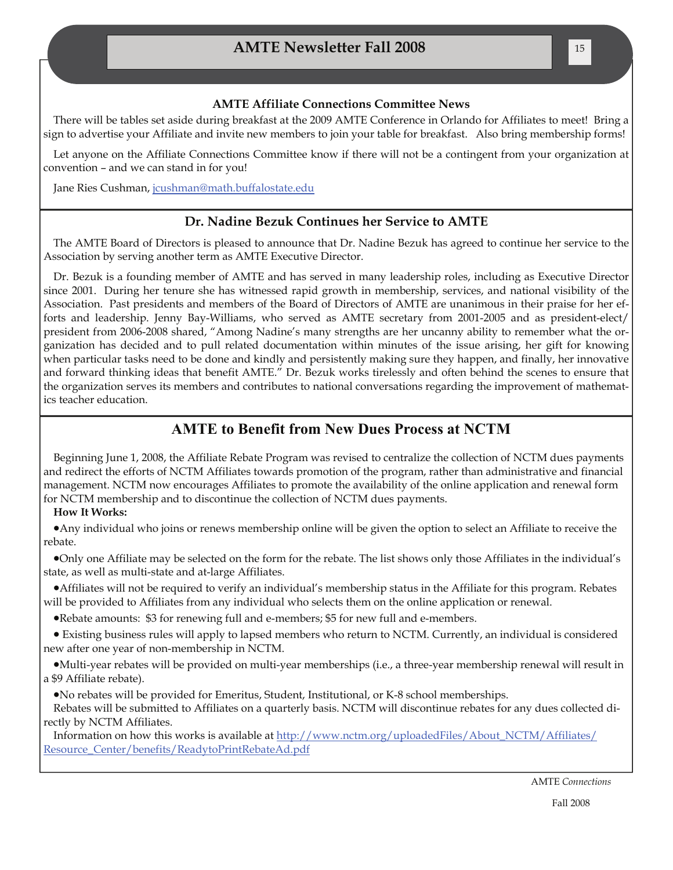#### **AMTE Affiliate Connections Committee News**

There will be tables set aside during breakfast at the 2009 AMTE Conference in Orlando for Affiliates to meet! Bring a sign to advertise your Affiliate and invite new members to join your table for breakfast. Also bring membership forms!

Let anyone on the Affiliate Connections Committee know if there will not be a contingent from your organization at convention – and we can stand in for you!

Jane Ries Cushman, [jcushman@math.buffalostate.edu](mailto:jcushman@math.buffalostate.edu)

#### **Dr. Nadine Bezuk Continues her Service to AMTE**

The AMTE Board of Directors is pleased to announce that Dr. Nadine Bezuk has agreed to continue her service to the Association by serving another term as AMTE Executive Director.

Dr. Bezuk is a founding member of AMTE and has served in many leadership roles, including as Executive Director since 2001. During her tenure she has witnessed rapid growth in membership, services, and national visibility of the Association. Past presidents and members of the Board of Directors of AMTE are unanimous in their praise for her efforts and leadership. Jenny Bay-Williams, who served as AMTE secretary from 2001-2005 and as president-elect/ president from 2006-2008 shared, "Among Nadine's many strengths are her uncanny ability to remember what the organization has decided and to pull related documentation within minutes of the issue arising, her gift for knowing when particular tasks need to be done and kindly and persistently making sure they happen, and finally, her innovative and forward thinking ideas that benefit AMTE." Dr. Bezuk works tirelessly and often behind the scenes to ensure that the organization serves its members and contributes to national conversations regarding the improvement of mathematics teacher education.

#### **AMTE to Benefit from New Dues Process at NCTM**

Beginning June 1, 2008, the Affiliate Rebate Program was revised to centralize the collection of NCTM dues payments and redirect the efforts of NCTM Affiliates towards promotion of the program, rather than administrative and financial management. NCTM now encourages Affiliates to promote the availability of the online application and renewal form for NCTM membership and to discontinue the collection of NCTM dues payments.

#### **How It Works:**

•Any individual who joins or renews membership online will be given the option to select an Affiliate to receive the rebate.

•Only one Affiliate may be selected on the form for the rebate. The list shows only those Affiliates in the individual's state, as well as multi-state and at-large Affiliates.

•Affiliates will not be required to verify an individual's membership status in the Affiliate for this program. Rebates will be provided to Affiliates from any individual who selects them on the online application or renewal.

•Rebate amounts: \$3 for renewing full and e-members; \$5 for new full and e-members.

• Existing business rules will apply to lapsed members who return to NCTM. Currently, an individual is considered new after one year of non-membership in NCTM.

•Multi-year rebates will be provided on multi-year memberships (i.e., a three-year membership renewal will result in a \$9 Affiliate rebate).

•No rebates will be provided for Emeritus, Student, Institutional, or K-8 school memberships.

Rebates will be submitted to Affiliates on a quarterly basis. NCTM will discontinue rebates for any dues collected directly by NCTM Affiliates.

Information on how this works is available at [http://www.nctm.org/uploadedFiles/About\\_NCTM/Affiliates/](http://www.nctm.org/uploadedFiles/About_NCTM/Affiliates/Resource_Center/benefits/ReadytoPrintRebateAd.pdf) [Resource\\_Center/benefits/ReadytoPrintRebateAd.pdf](http://www.nctm.org/uploadedFiles/About_NCTM/Affiliates/Resource_Center/benefits/ReadytoPrintRebateAd.pdf)